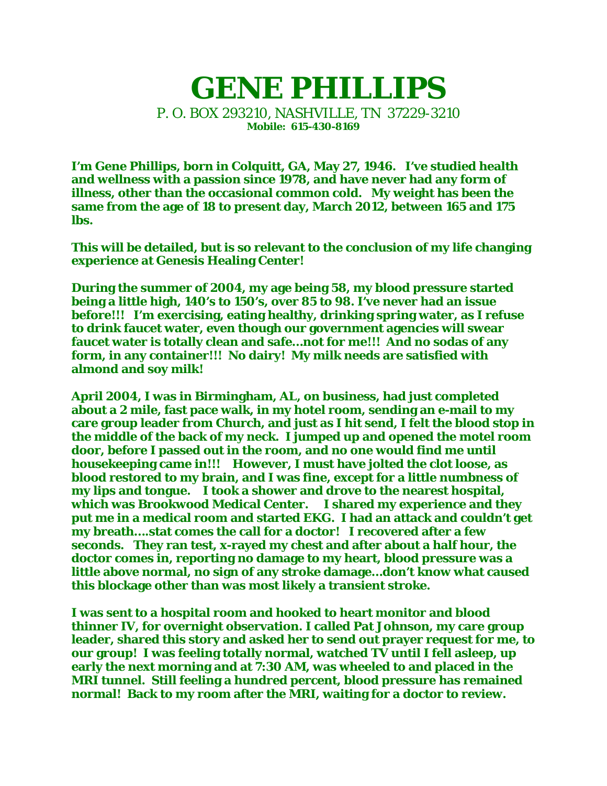## **GENE PHILLIPS** P. O. BOX 293210, NASHVILLE, TN 37229-3210 **Mobile: 615-430-8169**

**I'm Gene Phillips, born in Colquitt, GA, May 27, 1946. I've studied health and wellness with a passion since 1978, and have never had any form of illness, other than the occasional common cold. My weight has been the same from the age of 18 to present day, March 2012, between 165 and 175 lbs.** 

**This will be detailed, but is so relevant to the conclusion of my life changing experience at Genesis Healing Center!** 

**During the summer of 2004, my age being 58, my blood pressure started being a little high, 140's to 150's, over 85 to 98. I've never had an issue before!!! I'm exercising, eating healthy, drinking spring water, as I refuse to drink faucet water, even though our government agencies will swear faucet water is totally clean and safe…not for me!!! And no sodas of any form, in any container!!! No dairy! My milk needs are satisfied with almond and soy milk!** 

**April 2004, I was in Birmingham, AL, on business, had just completed about a 2 mile, fast pace walk, in my hotel room, sending an e-mail to my care group leader from Church, and just as I hit send, I felt the blood stop in the middle of the back of my neck. I jumped up and opened the motel room door, before I passed out in the room, and no one would find me until housekeeping came in!!! However, I must have jolted the clot loose, as blood restored to my brain, and I was fine, except for a little numbness of my lips and tongue. I took a shower and drove to the nearest hospital, which was Brookwood Medical Center. I shared my experience and they put me in a medical room and started EKG. I had an attack and couldn't get my breath….stat comes the call for a doctor! I recovered after a few seconds. They ran test, x-rayed my chest and after about a half hour, the doctor comes in, reporting no damage to my heart, blood pressure was a little above normal, no sign of any stroke damage…don't know what caused this blockage other than was most likely a transient stroke.** 

**I was sent to a hospital room and hooked to heart monitor and blood thinner IV, for overnight observation. I called Pat Johnson, my care group leader, shared this story and asked her to send out prayer request for me, to our group! I was feeling totally normal, watched TV until I fell asleep, up early the next morning and at 7:30 AM, was wheeled to and placed in the MRI tunnel. Still feeling a hundred percent, blood pressure has remained normal! Back to my room after the MRI, waiting for a doctor to review.**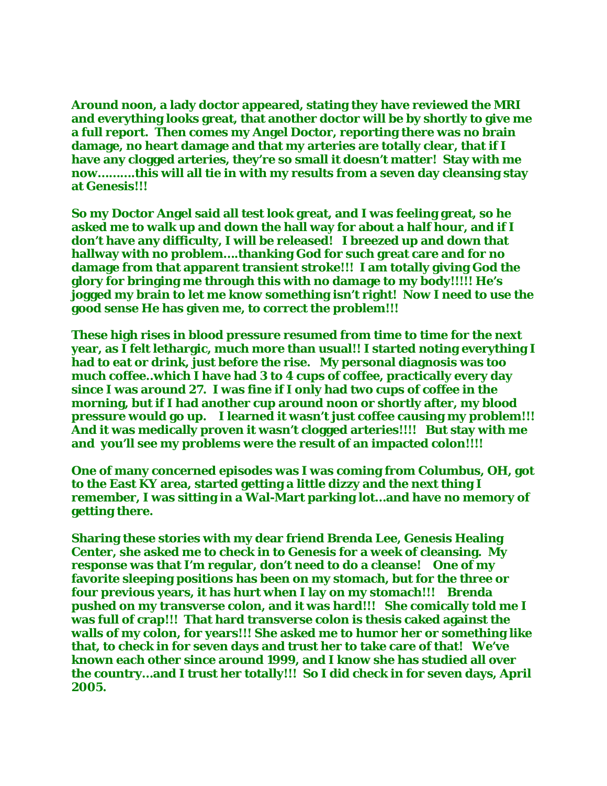**Around noon, a lady doctor appeared, stating they have reviewed the MRI and everything looks great, that another doctor will be by shortly to give me a full report. Then comes my Angel Doctor, reporting there was no brain damage, no heart damage and that my arteries are totally clear, that if I have any clogged arteries, they're so small it doesn't matter! Stay with me now……….this will all tie in with my results from a seven day cleansing stay at Genesis!!!** 

**So my Doctor Angel said all test look great, and I was feeling great, so he asked me to walk up and down the hall way for about a half hour, and if I don't have any difficulty, I will be released! I breezed up and down that hallway with no problem….thanking God for such great care and for no damage from that apparent transient stroke!!! I am totally giving God the glory for bringing me through this with no damage to my body!!!!! He's jogged my brain to let me know something isn't right! Now I need to use the good sense He has given me, to correct the problem!!!** 

**These high rises in blood pressure resumed from time to time for the next year, as I felt lethargic, much more than usual!! I started noting everything I had to eat or drink, just before the rise. My personal diagnosis was too much coffee..which I have had 3 to 4 cups of coffee, practically every day since I was around 27. I was fine if I only had two cups of coffee in the morning, but if I had another cup around noon or shortly after, my blood pressure would go up. I learned it wasn't just coffee causing my problem!!! And it was medically proven it wasn't clogged arteries!!!! But stay with me and you'll see my problems were the result of an impacted colon!!!!** 

**One of many concerned episodes was I was coming from Columbus, OH, got to the East KY area, started getting a little dizzy and the next thing I remember, I was sitting in a Wal-Mart parking lot…and have no memory of getting there.** 

**Sharing these stories with my dear friend Brenda Lee, Genesis Healing Center, she asked me to check in to Genesis for a week of cleansing. My response was that I'm regular, don't need to do a cleanse! One of my favorite sleeping positions has been on my stomach, but for the three or four previous years, it has hurt when I lay on my stomach!!! Brenda pushed on my transverse colon, and it was hard!!! She comically told me I was full of crap!!! That hard transverse colon is thesis caked against the walls of my colon, for years!!! She asked me to humor her or something like that, to check in for seven days and trust her to take care of that! We've known each other since around 1999, and I know she has studied all over the country…and I trust her totally!!! So I did check in for seven days, April 2005.**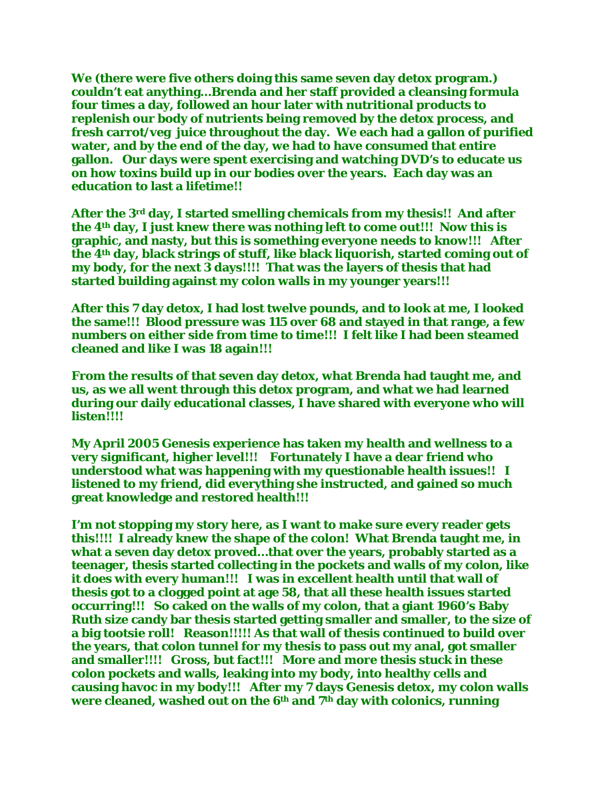**We (there were five others doing this same seven day detox program.) couldn't eat anything…Brenda and her staff provided a cleansing formula four times a day, followed an hour later with nutritional products to replenish our body of nutrients being removed by the detox process, and fresh carrot/veg juice throughout the day. We each had a gallon of purified water, and by the end of the day, we had to have consumed that entire gallon. Our days were spent exercising and watching DVD's to educate us on how toxins build up in our bodies over the years. Each day was an education to last a lifetime!!** 

**After the 3rd day, I started smelling chemicals from my thesis!! And after the 4th day, I just knew there was nothing left to come out!!! Now this is graphic, and nasty, but this is something everyone needs to know!!! After the 4th day, black strings of stuff, like black liquorish, started coming out of my body, for the next 3 days!!!! That was the layers of thesis that had started building against my colon walls in my younger years!!!** 

**After this 7 day detox, I had lost twelve pounds, and to look at me, I looked the same!!! Blood pressure was 115 over 68 and stayed in that range, a few numbers on either side from time to time!!! I felt like I had been steamed cleaned and like I was 18 again!!!** 

**From the results of that seven day detox, what Brenda had taught me, and us, as we all went through this detox program, and what we had learned during our daily educational classes, I have shared with everyone who will listen!!!!** 

**My April 2005 Genesis experience has taken my health and wellness to a very significant, higher level!!! Fortunately I have a dear friend who understood what was happening with my questionable health issues!! I listened to my friend, did everything she instructed, and gained so much great knowledge and restored health!!!** 

**I'm not stopping my story here, as I want to make sure every reader gets this!!!! I already knew the shape of the colon! What Brenda taught me, in what a seven day detox proved…that over the years, probably started as a teenager, thesis started collecting in the pockets and walls of my colon, like it does with every human!!! I was in excellent health until that wall of thesis got to a clogged point at age 58, that all these health issues started occurring!!! So caked on the walls of my colon, that a giant 1960's Baby Ruth size candy bar thesis started getting smaller and smaller, to the size of a big tootsie roll! Reason!!!!! As that wall of thesis continued to build over the years, that colon tunnel for my thesis to pass out my anal, got smaller and smaller!!!! Gross, but fact!!! More and more thesis stuck in these colon pockets and walls, leaking into my body, into healthy cells and causing havoc in my body!!! After my 7 days Genesis detox, my colon walls were cleaned, washed out on the 6th and 7th day with colonics, running**